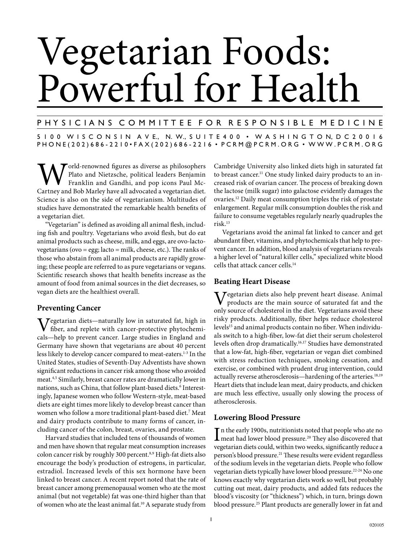# Vegetarian Foods: Powerful for Health

# P H Y S I C I A N S C O M M I T T E E F O R R E S P O N S I B L E M E D I C I N E

5 1 0 0 W I S C O N S I N A V E., N. W., S U I T E 4 0 0 • W A S H I N G T O N, D C 2 0 0 1 6 PHONE(202)686-2210 • FAX(202)686-2216 • PCRM@PCRM.ORG • WWW.PCRM.ORG

World-renowned figures as diverse as philosophers<br>
Franklin and Gandhi, and pop icons Paul McCartney and Bob Marley have all advocated a vegetarian diet. Plato and Nietzsche, political leaders Benjamin Franklin and Gandhi, and pop icons Paul Mc-Science is also on the side of vegetarianism. Multitudes of studies have demonstrated the remarkable health benefits of a vegetarian diet.

"Vegetarian" is defined as avoiding all animal flesh, including fish and poultry. Vegetarians who avoid flesh, but do eat animal products such as cheese, milk, and eggs, are ovo-lactovegetarians (ovo = egg; lacto = milk, cheese, etc.). The ranks of those who abstain from all animal products are rapidly growing; these people are referred to as pure vegetarians or vegans. Scientific research shows that health benefits increase as the amount of food from animal sources in the diet decreases, so vegan diets are the healthiest overall.

## **Preventing Cancer**

Vegetarian diets—naturally low in saturated fat, high in fiber, and replete with cancer-protective phytochemicals—help to prevent cancer. Large studies in England and Germany have shown that vegetarians are about 40 percent less likely to develop cancer compared to meat-eaters.<sup>1-3</sup> In the United States, studies of Seventh-Day Adventists have shown significant reductions in cancer risk among those who avoided meat.4,5 Similarly, breast cancer rates are dramatically lower in nations, such as China, that follow plant-based diets.<sup>6</sup> Interestingly, Japanese women who follow Western-style, meat-based diets are eight times more likely to develop breast cancer than women who follow a more traditional plant-based diet.7 Meat and dairy products contribute to many forms of cancer, including cancer of the colon, breast, ovaries, and prostate.

Harvard studies that included tens of thousands of women and men have shown that regular meat consumption increases colon cancer risk by roughly 300 percent.<sup>8,9</sup> High-fat diets also encourage the body's production of estrogens, in particular, estradiol. Increased levels of this sex hormone have been linked to breast cancer. A recent report noted that the rate of breast cancer among premenopausal women who ate the most animal (but not vegetable) fat was one-third higher than that of women who ate the least animal fat.10 A separate study from

Cambridge University also linked diets high in saturated fat to breast cancer.<sup>11</sup> One study linked dairy products to an increased risk of ovarian cancer. The process of breaking down the lactose (milk sugar) into galactose evidently damages the ovaries.12 Daily meat consumption triples the risk of prostate enlargement. Regular milk consumption doubles the risk and failure to consume vegetables regularly nearly quadruples the risk.13

Vegetarians avoid the animal fat linked to cancer and get abundant fiber, vitamins, and phytochemicals that help to prevent cancer. In addition, blood analysis of vegetarians reveals a higher level of "natural killer cells," specialized white blood cells that attack cancer cells.14

## **Beating Heart Disease**

Vegetarian diets also help prevent heart disease. Animal products are the main source of saturated fat and the only source of cholesterol in the diet. Vegetarians avoid these risky products. Additionally, fiber helps reduce cholesterol levels<sup>15</sup> and animal products contain no fiber. When individuals switch to a high-fiber, low-fat diet their serum cholesterol levels often drop dramatically.<sup>16,17</sup> Studies have demonstrated that a low-fat, high-fiber, vegetarian or vegan diet combined with stress reduction techniques, smoking cessation, and exercise, or combined with prudent drug intervention, could actually reverse atherosclerosis—hardening of the arteries.<sup>18,19</sup> Heart diets that include lean meat, dairy products, and chicken are much less effective, usually only slowing the process of atherosclerosis.

## **Lowering Blood Pressure**

In the early 1900s, nutritionists noted that people who ate no<br>meat had lower blood pressure.<sup>20</sup> They also discovered that meat had lower blood pressure.<sup>20</sup> They also discovered that vegetarian diets could, within two weeks, significantly reduce a person's blood pressure.<sup>21</sup> These results were evident regardless of the sodium levels in the vegetarian diets. People who follow vegetarian diets typically have lower blood pressure.<sup>22-24</sup> No one knows exactly why vegetarian diets work so well, but probably cutting out meat, dairy products, and added fats reduces the blood's viscosity (or "thickness") which, in turn, brings down blood pressure.<sup>25</sup> Plant products are generally lower in fat and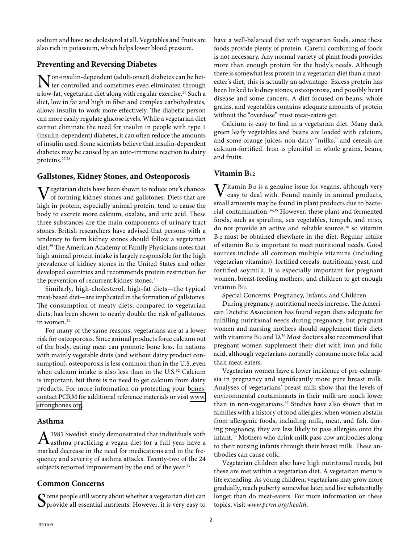sodium and have no cholesterol at all. Vegetables and fruits are also rich in potassium, which helps lower blood pressure.

## **Preventing and Reversing Diabetes**

**Non-insulin-dependent (adult-onset) diabetes can be bet-**<br>ter controlled and sometimes even eliminated through a low-fat, vegetarian diet along with regular exercise.<sup>26</sup> Such a diet, low in fat and high in fiber and complex carbohydrates, allows insulin to work more effectively. The diabetic person can more easily regulate glucose levels. While a vegetarian diet cannot eliminate the need for insulin in people with type 1 (insulin-dependent) diabetes, it can often reduce the amounts of insulin used. Some scientists believe that insulin-dependent diabetes may be caused by an auto-immune reaction to dairy proteins.27,28

#### **Gallstones, Kidney Stones, and Osteoporosis**

Vegetarian diets have been shown to reduce one's chances of forming kidney stones and gallstones. Diets that are high in protein, especially animal protein, tend to cause the body to excrete more calcium, oxalate, and uric acid. These three substances are the main components of urinary tract stones. British researchers have advised that persons with a tendency to form kidney stones should follow a vegetarian diet.29 The American Academy of Family Physicians notes that high animal protein intake is largely responsible for the high prevalence of kidney stones in the United States and other developed countries and recommends protein restriction for the prevention of recurrent kidney stones.<sup>30</sup>

Similarly, high-cholesterol, high-fat diets—the typical meat-based diet—are implicated in the formation of gallstones. The consumption of meaty diets, compared to vegetarian diets, has been shown to nearly double the risk of gallstones in women.<sup>31</sup>

For many of the same reasons, vegetarians are at a lower risk for osteoporosis. Since animal products force calcium out of the body, eating meat can promote bone loss. In nations with mainly vegetable diets (and without dairy product consumption), osteoporosis is less common than in the U.S.,even when calcium intake is also less than in the U.S.<sup>32</sup> Calcium is important, but there is no need to get calcium from dairy products. For more information on protecting your bones, contact PCRM for additional reference materials or visit [www.](http://www.strongbones.org) [strongbones.org](http://www.strongbones.org).

## **Asthma**

1985 Swedish study demonstrated that individuals with asthma practicing a vegan diet for a full year have a marked decrease in the need for medications and in the frequency and severity of asthma attacks. Twenty-two of the 24 subjects reported improvement by the end of the year.<sup>33</sup>

## **Common Concerns**

 $S$  ome people still worry about whether a vegetarian diet can provide all essential nutrients. However, it is very easy to

have a well-balanced diet with vegetarian foods, since these foods provide plenty of protein. Careful combining of foods is not necessary. Any normal variety of plant foods provides more than enough protein for the body's needs. Although there is somewhat less protein in a vegetarian diet than a meateater's diet, this is actually an advantage. Excess protein has been linked to kidney stones, osteoporosis, and possibly heart disease and some cancers. A diet focused on beans, whole grains, and vegetables contains adequate amounts of protein without the "overdose" most meat-eaters get.

Calcium is easy to find in a vegetarian diet. Many dark green leafy vegetables and beans are loaded with calcium, and some orange juices, non-dairy "milks," and cereals are calcium-fortified. Iron is plentiful in whole grains, beans, and fruits.

## **Vitamin B12**

 $\sum$  *T*itamin B<sub>12</sub> is a genuine issue for vegans, although very easy to deal with. Found mainly in animal products, small amounts may be found in plant products due to bacterial contamination.34,35 However, these plant and fermented foods, such as spirulina, sea vegetables, tempeh, and miso, do not provide an active and reliable source,<sup>36</sup> so vitamin B12 must be obtained elsewhere in the diet. Regular intake of vitamin B12 is important to meet nutritional needs. Good sources include all common multiple vitamins (including vegetarian vitamins), fortified cereals, nutritional yeast, and fortified soymilk. It is especially important for pregnant women, breast-feeding mothers, and children to get enough vitamin B12.

Special Concerns: Pregnancy, Infants, and Children

During pregnancy, nutritional needs increase. The American Dietetic Association has found vegan diets adequate for fulfilling nutritional needs during pregnancy, but pregnant women and nursing mothers should supplement their diets with vitamins B<sub>12</sub> and D.<sup>36</sup> Most doctors also recommend that pregnant women supplement their diet with iron and folic acid, although vegetarians normally consume more folic acid than meat-eaters.

Vegetarian women have a lower incidence of pre-eclampsia in pregnancy and significantly more pure breast milk. Analyses of vegetarians' breast milk show that the levels of environmental contaminants in their milk are much lower than in non-vegetarians.<sup>37</sup> Studies have also shown that in families with a history of food allergies, when women abstain from allergenic foods, including milk, meat, and fish, during pregnancy, they are less likely to pass allergies onto the infant.38 Mothers who drink milk pass cow antibodies along to their nursing infants through their breast milk. These antibodies can cause colic.

Vegetarian children also have high nutritional needs, but these are met within a vegetarian diet. A vegetarian menu is life extending. As young children, vegetarians may grow more gradually, reach puberty somewhat later, and live substantially longer than do meat-eaters. For more information on these topics, visit *www.pcrm.org/health*.